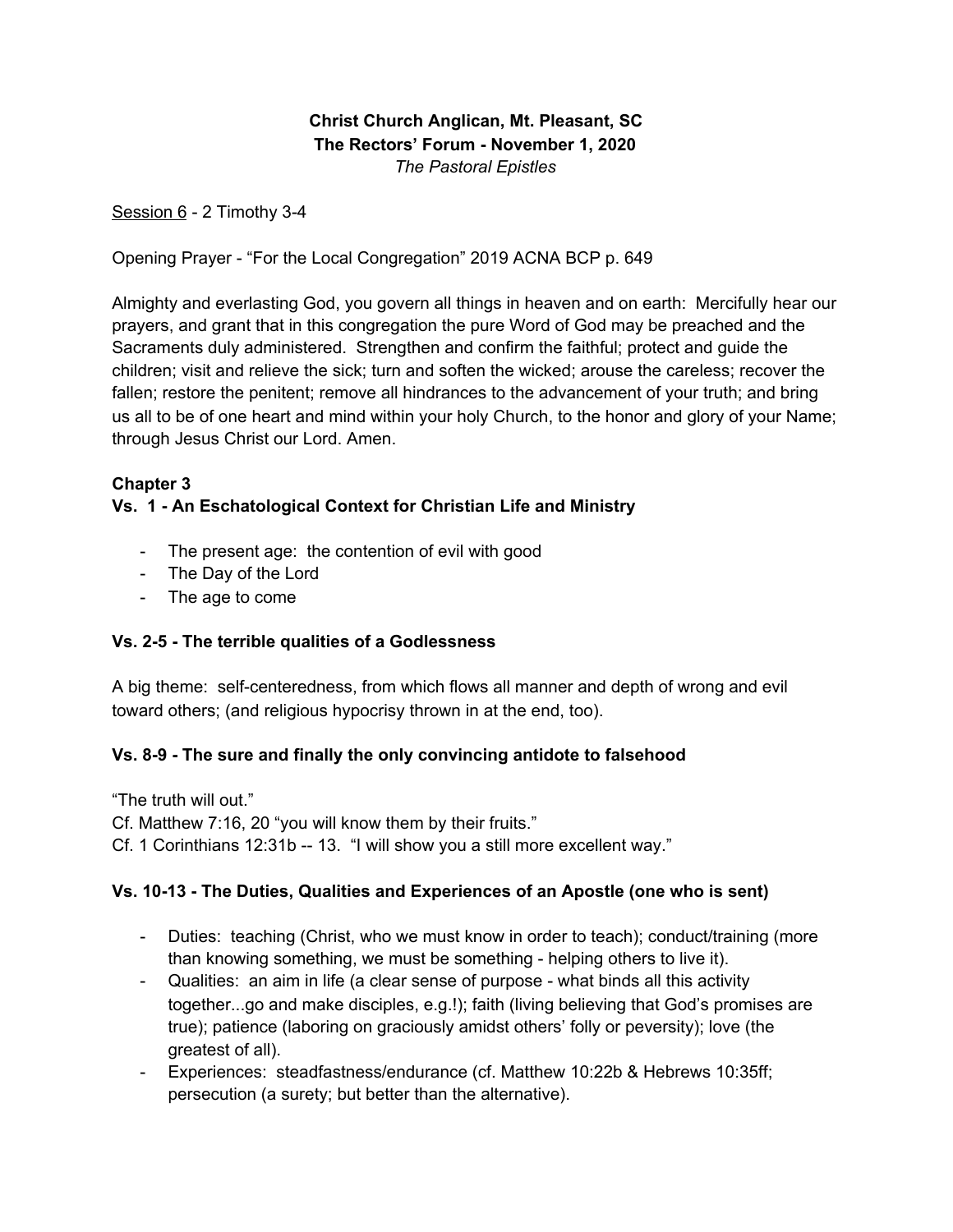**Christ Church Anglican, Mt. Pleasant, SC The Rectors' Forum - November 1, 2020** *The Pastoral Epistles*

Session 6 - 2 Timothy 3-4

Opening Prayer - "For the Local Congregation" 2019 ACNA BCP p. 649

Almighty and everlasting God, you govern all things in heaven and on earth: Mercifully hear our prayers, and grant that in this congregation the pure Word of God may be preached and the Sacraments duly administered. Strengthen and confirm the faithful; protect and guide the children; visit and relieve the sick; turn and soften the wicked; arouse the careless; recover the fallen; restore the penitent; remove all hindrances to the advancement of your truth; and bring us all to be of one heart and mind within your holy Church, to the honor and glory of your Name; through Jesus Christ our Lord. Amen.

## **Chapter 3**

# **Vs. 1 - An Eschatological Context for Christian Life and Ministry**

- The present age: the contention of evil with good
- The Day of the Lord
- The age to come

## **Vs. 2-5 - The terrible qualities of a Godlessness**

A big theme: self-centeredness, from which flows all manner and depth of wrong and evil toward others; (and religious hypocrisy thrown in at the end, too).

## **Vs. 8-9 - The sure and finally the only convincing antidote to falsehood**

"The truth will out."

Cf. Matthew 7:16, 20 "you will know them by their fruits."

Cf. 1 Corinthians 12:31b -- 13. "I will show you a still more excellent way."

## **Vs. 10-13 - The Duties, Qualities and Experiences of an Apostle (one who is sent)**

- Duties: teaching (Christ, who we must know in order to teach); conduct/training (more than knowing something, we must be something - helping others to live it).
- Qualities: an aim in life (a clear sense of purpose what binds all this activity together...go and make disciples, e.g.!); faith (living believing that God's promises are true); patience (laboring on graciously amidst others' folly or peversity); love (the greatest of all).
- Experiences: steadfastness/endurance (cf. Matthew 10:22b & Hebrews 10:35ff; persecution (a surety; but better than the alternative).